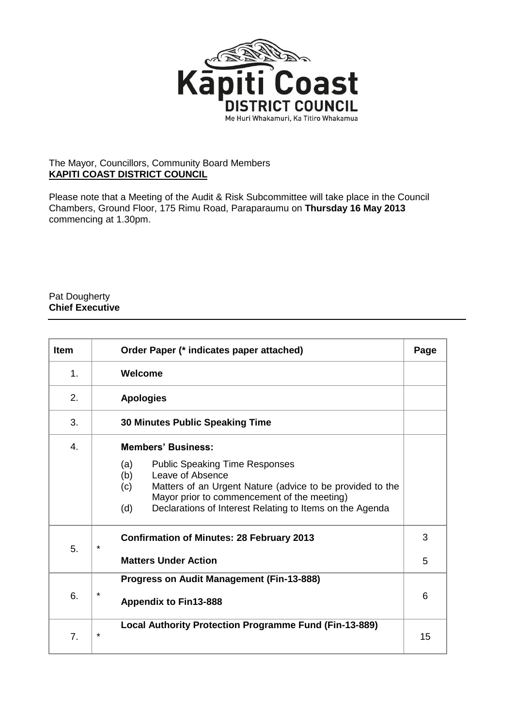

## The Mayor, Councillors, Community Board Members **KAPITI COAST DISTRICT COUNCIL**

Please note that a Meeting of the Audit & Risk Subcommittee will take place in the Council Chambers, Ground Floor, 175 Rimu Road, Paraparaumu on **Thursday 16 May 2013** commencing at 1.30pm.

## Pat Dougherty **Chief Executive**

| <b>Item</b> | Order Paper (* indicates paper attached)                                                                                                                                                                                                                      |   |  |  |
|-------------|---------------------------------------------------------------------------------------------------------------------------------------------------------------------------------------------------------------------------------------------------------------|---|--|--|
| 1.          | Welcome                                                                                                                                                                                                                                                       |   |  |  |
| 2.          | <b>Apologies</b>                                                                                                                                                                                                                                              |   |  |  |
| 3.          | <b>30 Minutes Public Speaking Time</b>                                                                                                                                                                                                                        |   |  |  |
| 4.          | <b>Members' Business:</b>                                                                                                                                                                                                                                     |   |  |  |
|             | <b>Public Speaking Time Responses</b><br>(a)<br>Leave of Absence<br>(b)<br>Matters of an Urgent Nature (advice to be provided to the<br>(c)<br>Mayor prior to commencement of the meeting)<br>Declarations of Interest Relating to Items on the Agenda<br>(d) |   |  |  |
| 5.          | <b>Confirmation of Minutes: 28 February 2013</b><br>$\star$                                                                                                                                                                                                   |   |  |  |
|             | <b>Matters Under Action</b>                                                                                                                                                                                                                                   |   |  |  |
| 6.          | <b>Progress on Audit Management (Fin-13-888)</b>                                                                                                                                                                                                              |   |  |  |
|             | $\star$<br><b>Appendix to Fin13-888</b>                                                                                                                                                                                                                       | 6 |  |  |
| 7.          | Local Authority Protection Programme Fund (Fin-13-889)<br>$\star$                                                                                                                                                                                             |   |  |  |